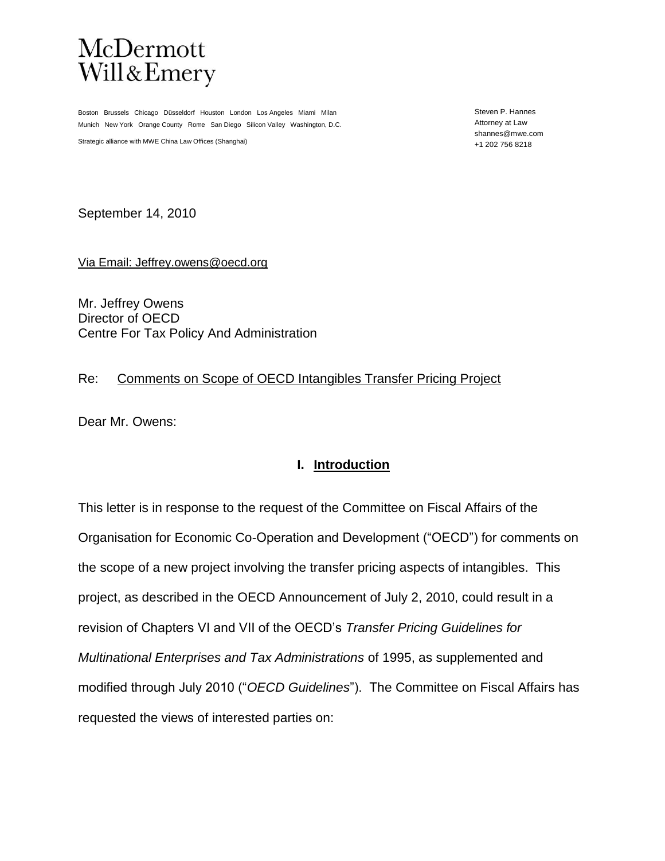

Boston Brussels Chicago Düsseldorf Houston London Los Angeles Miami Milan Munich New York Orange County Rome San Diego Silicon Valley Washington, D.C.

Strategic alliance with MWE China Law Offices (Shanghai)

Steven P. Hannes Attorney at Law shannes@mwe.com +1 202 756 8218

September 14, 2010

Via Email: Jeffrey.owens@oecd.org

Mr. Jeffrey Owens Director of OECD Centre For Tax Policy And Administration

#### Re: Comments on Scope of OECD Intangibles Transfer Pricing Project

Dear Mr. Owens:

### **I. Introduction**

This letter is in response to the request of the Committee on Fiscal Affairs of the Organisation for Economic Co-Operation and Development ("OECD") for comments on the scope of a new project involving the transfer pricing aspects of intangibles. This project, as described in the OECD Announcement of July 2, 2010, could result in a revision of Chapters VI and VII of the OECD's *Transfer Pricing Guidelines for Multinational Enterprises and Tax Administrations* of 1995, as supplemented and modified through July 2010 ("*OECD Guidelines*"). The Committee on Fiscal Affairs has requested the views of interested parties on: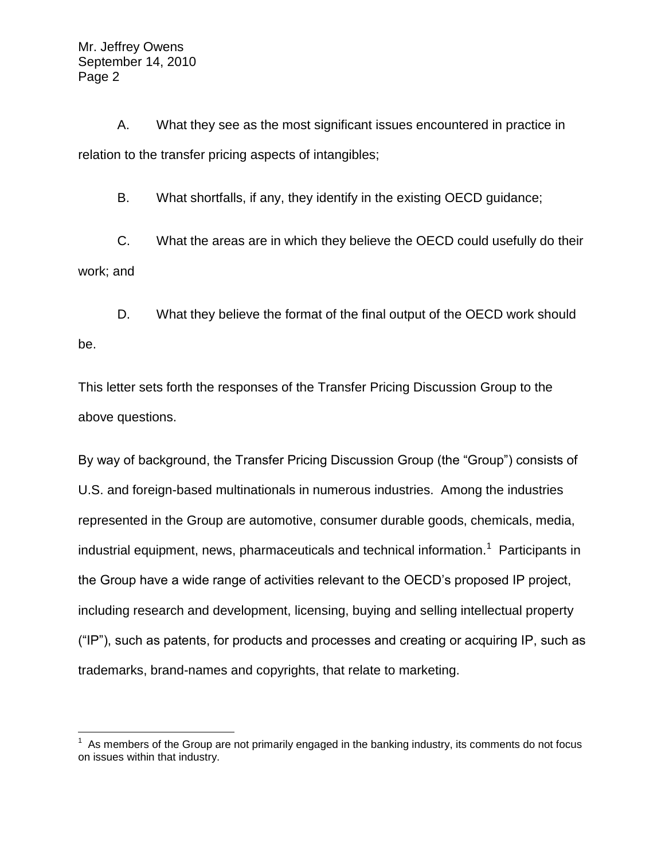$\overline{a}$ 

A. What they see as the most significant issues encountered in practice in relation to the transfer pricing aspects of intangibles;

B. What shortfalls, if any, they identify in the existing OECD guidance;

C. What the areas are in which they believe the OECD could usefully do their work; and

D. What they believe the format of the final output of the OECD work should be.

This letter sets forth the responses of the Transfer Pricing Discussion Group to the above questions.

By way of background, the Transfer Pricing Discussion Group (the "Group") consists of U.S. and foreign-based multinationals in numerous industries. Among the industries represented in the Group are automotive, consumer durable goods, chemicals, media, industrial equipment, news, pharmaceuticals and technical information.<sup>1</sup> Participants in the Group have a wide range of activities relevant to the OECD's proposed IP project, including research and development, licensing, buying and selling intellectual property ("IP"), such as patents, for products and processes and creating or acquiring IP, such as trademarks, brand-names and copyrights, that relate to marketing.

 $1$  As members of the Group are not primarily engaged in the banking industry, its comments do not focus on issues within that industry.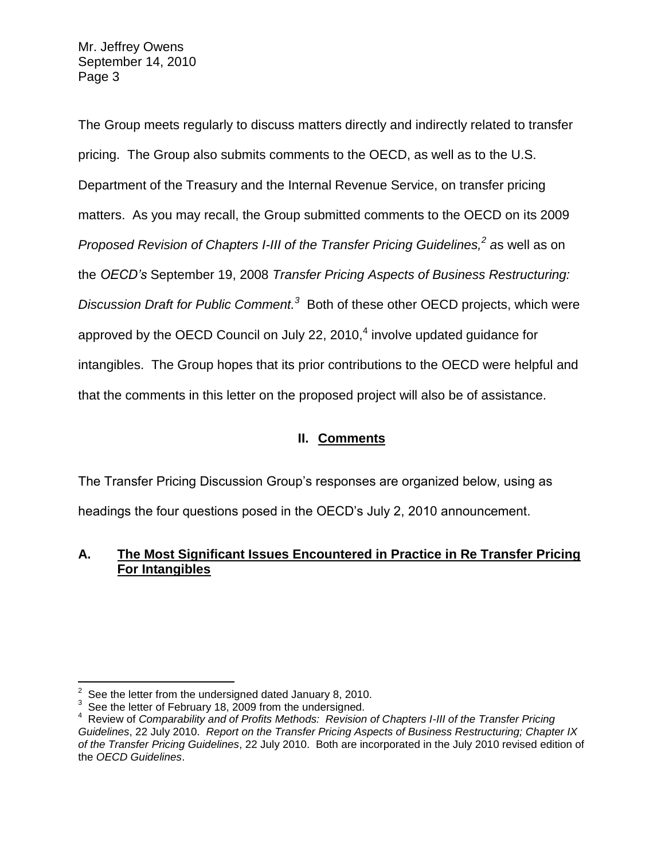The Group meets regularly to discuss matters directly and indirectly related to transfer pricing. The Group also submits comments to the OECD, as well as to the U.S. Department of the Treasury and the Internal Revenue Service, on transfer pricing matters. As you may recall, the Group submitted comments to the OECD on its 2009 *Proposed Revision of Chapters I-III of the Transfer Pricing Guidelines,<sup>2</sup> a*s well as on the *OECD's* September 19, 2008 *Transfer Pricing Aspects of Business Restructuring: Discussion Draft for Public Comment.<sup>3</sup>* Both of these other OECD projects, which were approved by the OECD Council on July 22, 2010, $<sup>4</sup>$  involve updated guidance for</sup> intangibles. The Group hopes that its prior contributions to the OECD were helpful and that the comments in this letter on the proposed project will also be of assistance.

# **II. Comments**

The Transfer Pricing Discussion Group's responses are organized below, using as headings the four questions posed in the OECD's July 2, 2010 announcement.

## **A. The Most Significant Issues Encountered in Practice in Re Transfer Pricing For Intangibles**

 $\overline{a}$  $2^2$  See the letter from the undersigned dated January 8, 2010.

<sup>&</sup>lt;sup>3</sup> See the letter of February 18, 2009 from the undersigned.

Review of *Comparability and of Profits Methods: Revision of Chapters I-III of the Transfer Pricing Guidelines*, 22 July 2010. *Report on the Transfer Pricing Aspects of Business Restructuring; Chapter IX of the Transfer Pricing Guidelines*, 22 July 2010. Both are incorporated in the July 2010 revised edition of the *OECD Guidelines*.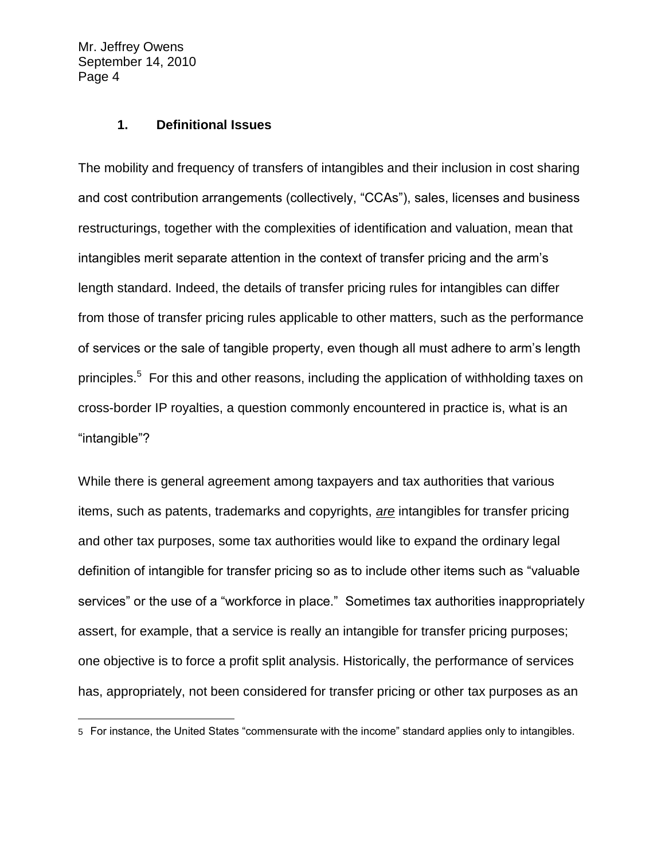$\overline{a}$ 

#### **1. Definitional Issues**

The mobility and frequency of transfers of intangibles and their inclusion in cost sharing and cost contribution arrangements (collectively, "CCAs"), sales, licenses and business restructurings, together with the complexities of identification and valuation, mean that intangibles merit separate attention in the context of transfer pricing and the arm's length standard. Indeed, the details of transfer pricing rules for intangibles can differ from those of transfer pricing rules applicable to other matters, such as the performance of services or the sale of tangible property, even though all must adhere to arm's length principles.<sup>5</sup> For this and other reasons, including the application of withholding taxes on cross-border IP royalties, a question commonly encountered in practice is, what is an "intangible"?

While there is general agreement among taxpayers and tax authorities that various items, such as patents, trademarks and copyrights, *are* intangibles for transfer pricing and other tax purposes, some tax authorities would like to expand the ordinary legal definition of intangible for transfer pricing so as to include other items such as "valuable services" or the use of a "workforce in place." Sometimes tax authorities inappropriately assert, for example, that a service is really an intangible for transfer pricing purposes; one objective is to force a profit split analysis. Historically, the performance of services has, appropriately, not been considered for transfer pricing or other tax purposes as an

<sup>5</sup> For instance, the United States "commensurate with the income" standard applies only to intangibles.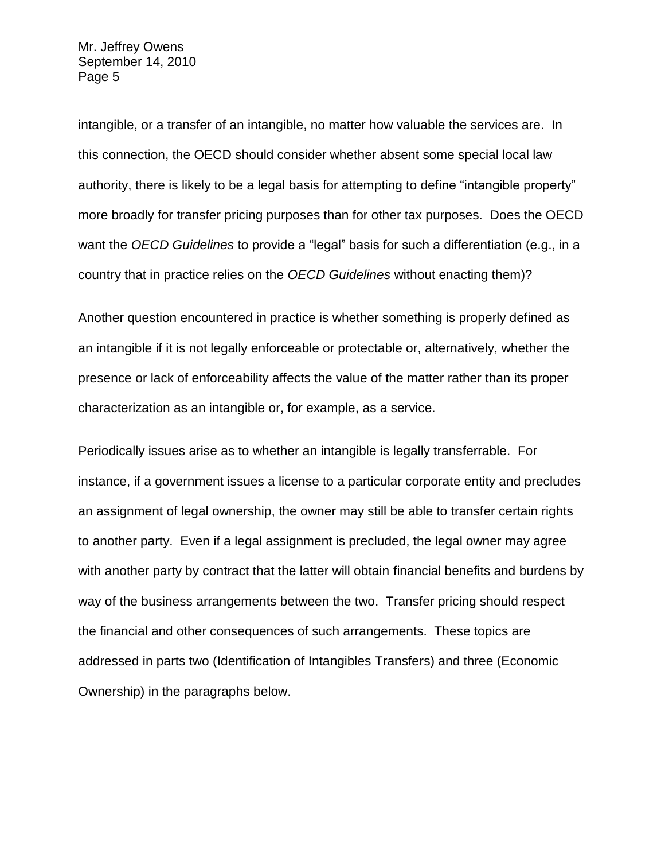intangible, or a transfer of an intangible, no matter how valuable the services are. In this connection, the OECD should consider whether absent some special local law authority, there is likely to be a legal basis for attempting to define "intangible property" more broadly for transfer pricing purposes than for other tax purposes. Does the OECD want the *OECD Guidelines* to provide a "legal" basis for such a differentiation (e.g., in a country that in practice relies on the *OECD Guidelines* without enacting them)?

Another question encountered in practice is whether something is properly defined as an intangible if it is not legally enforceable or protectable or, alternatively, whether the presence or lack of enforceability affects the value of the matter rather than its proper characterization as an intangible or, for example, as a service.

Periodically issues arise as to whether an intangible is legally transferrable. For instance, if a government issues a license to a particular corporate entity and precludes an assignment of legal ownership, the owner may still be able to transfer certain rights to another party. Even if a legal assignment is precluded, the legal owner may agree with another party by contract that the latter will obtain financial benefits and burdens by way of the business arrangements between the two. Transfer pricing should respect the financial and other consequences of such arrangements. These topics are addressed in parts two (Identification of Intangibles Transfers) and three (Economic Ownership) in the paragraphs below.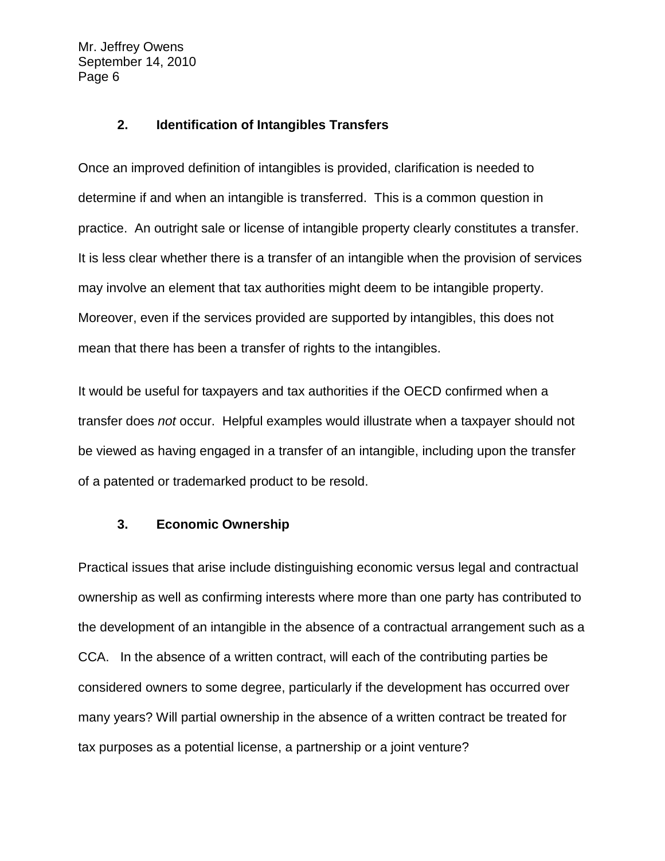### **2. Identification of Intangibles Transfers**

Once an improved definition of intangibles is provided, clarification is needed to determine if and when an intangible is transferred. This is a common question in practice. An outright sale or license of intangible property clearly constitutes a transfer. It is less clear whether there is a transfer of an intangible when the provision of services may involve an element that tax authorities might deem to be intangible property. Moreover, even if the services provided are supported by intangibles, this does not mean that there has been a transfer of rights to the intangibles.

It would be useful for taxpayers and tax authorities if the OECD confirmed when a transfer does *not* occur. Helpful examples would illustrate when a taxpayer should not be viewed as having engaged in a transfer of an intangible, including upon the transfer of a patented or trademarked product to be resold.

### **3. Economic Ownership**

Practical issues that arise include distinguishing economic versus legal and contractual ownership as well as confirming interests where more than one party has contributed to the development of an intangible in the absence of a contractual arrangement such as a CCA. In the absence of a written contract, will each of the contributing parties be considered owners to some degree, particularly if the development has occurred over many years? Will partial ownership in the absence of a written contract be treated for tax purposes as a potential license, a partnership or a joint venture?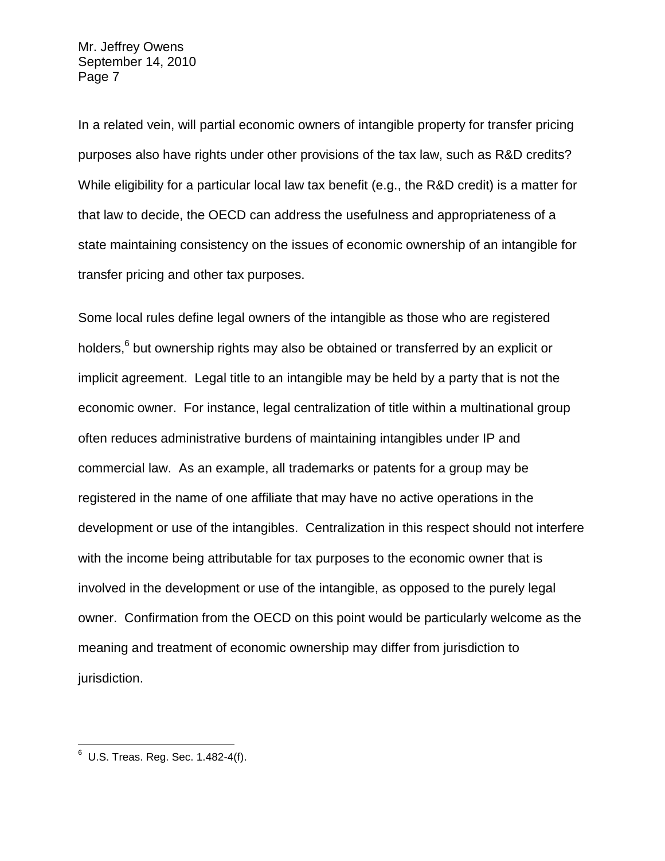In a related vein, will partial economic owners of intangible property for transfer pricing purposes also have rights under other provisions of the tax law, such as R&D credits? While eligibility for a particular local law tax benefit (e.g., the R&D credit) is a matter for that law to decide, the OECD can address the usefulness and appropriateness of a state maintaining consistency on the issues of economic ownership of an intangible for transfer pricing and other tax purposes.

Some local rules define legal owners of the intangible as those who are registered holders,<sup>6</sup> but ownership rights may also be obtained or transferred by an explicit or implicit agreement. Legal title to an intangible may be held by a party that is not the economic owner. For instance, legal centralization of title within a multinational group often reduces administrative burdens of maintaining intangibles under IP and commercial law. As an example, all trademarks or patents for a group may be registered in the name of one affiliate that may have no active operations in the development or use of the intangibles. Centralization in this respect should not interfere with the income being attributable for tax purposes to the economic owner that is involved in the development or use of the intangible, as opposed to the purely legal owner. Confirmation from the OECD on this point would be particularly welcome as the meaning and treatment of economic ownership may differ from jurisdiction to jurisdiction.

 6 U.S. Treas. Reg. Sec. 1.482-4(f).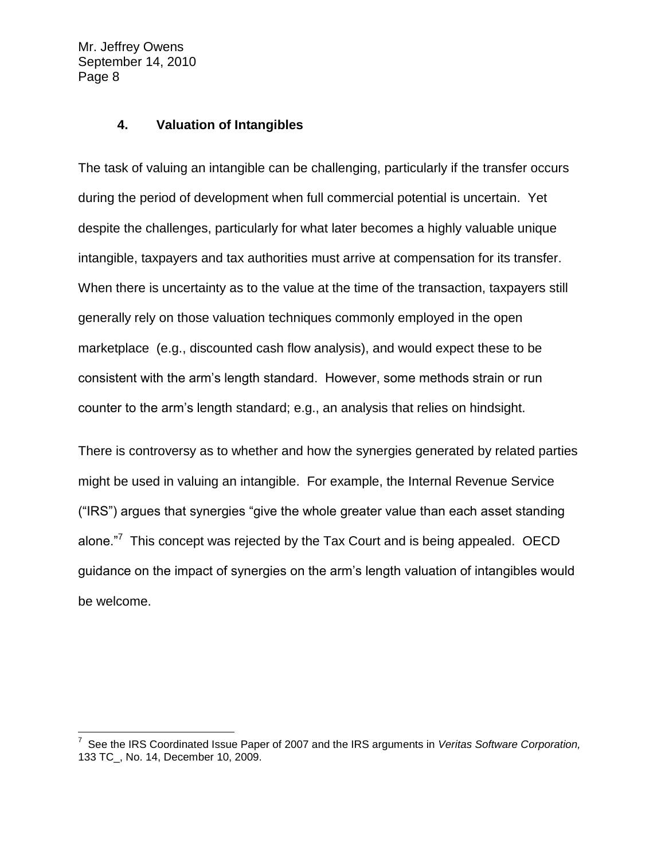$\overline{a}$ 

#### **4. Valuation of Intangibles**

The task of valuing an intangible can be challenging, particularly if the transfer occurs during the period of development when full commercial potential is uncertain. Yet despite the challenges, particularly for what later becomes a highly valuable unique intangible, taxpayers and tax authorities must arrive at compensation for its transfer. When there is uncertainty as to the value at the time of the transaction, taxpayers still generally rely on those valuation techniques commonly employed in the open marketplace (e.g., discounted cash flow analysis), and would expect these to be consistent with the arm's length standard. However, some methods strain or run counter to the arm's length standard; e.g., an analysis that relies on hindsight.

There is controversy as to whether and how the synergies generated by related parties might be used in valuing an intangible. For example, the Internal Revenue Service ("IRS") argues that synergies "give the whole greater value than each asset standing alone."<sup>7</sup> This concept was rejected by the Tax Court and is being appealed. OECD guidance on the impact of synergies on the arm's length valuation of intangibles would be welcome.

<sup>7</sup> See the IRS Coordinated Issue Paper of 2007 and the IRS arguments in *Veritas Software Corporation,*  133 TC\_, No. 14, December 10, 2009.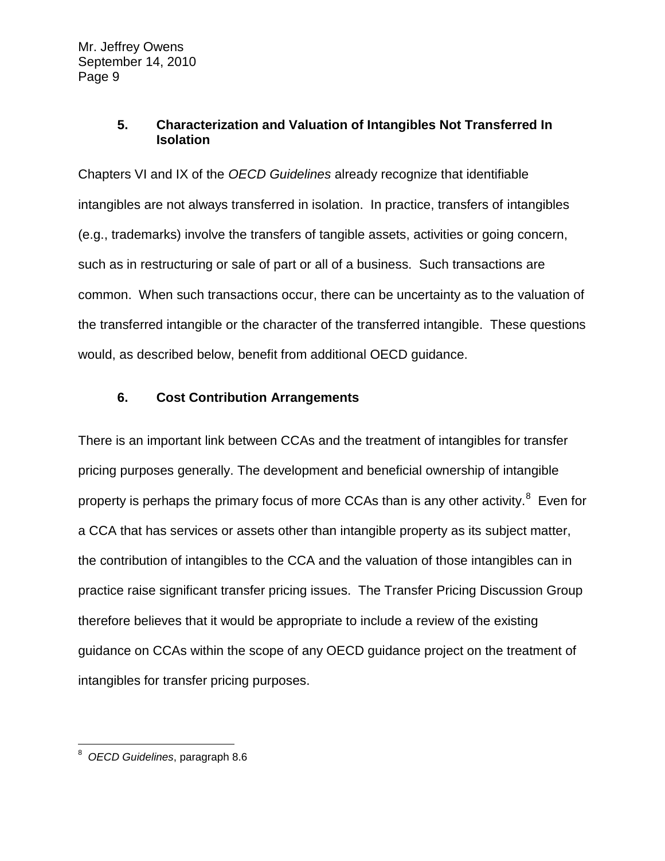### **5. Characterization and Valuation of Intangibles Not Transferred In Isolation**

Chapters VI and IX of the *OECD Guidelines* already recognize that identifiable intangibles are not always transferred in isolation. In practice, transfers of intangibles (e.g., trademarks) involve the transfers of tangible assets, activities or going concern, such as in restructuring or sale of part or all of a business. Such transactions are common. When such transactions occur, there can be uncertainty as to the valuation of the transferred intangible or the character of the transferred intangible. These questions would, as described below, benefit from additional OECD guidance.

## **6. Cost Contribution Arrangements**

There is an important link between CCAs and the treatment of intangibles for transfer pricing purposes generally. The development and beneficial ownership of intangible property is perhaps the primary focus of more CCAs than is any other activity.<sup>8</sup> Even for a CCA that has services or assets other than intangible property as its subject matter, the contribution of intangibles to the CCA and the valuation of those intangibles can in practice raise significant transfer pricing issues. The Transfer Pricing Discussion Group therefore believes that it would be appropriate to include a review of the existing guidance on CCAs within the scope of any OECD guidance project on the treatment of intangibles for transfer pricing purposes.

 8 *OECD Guidelines*, paragraph 8.6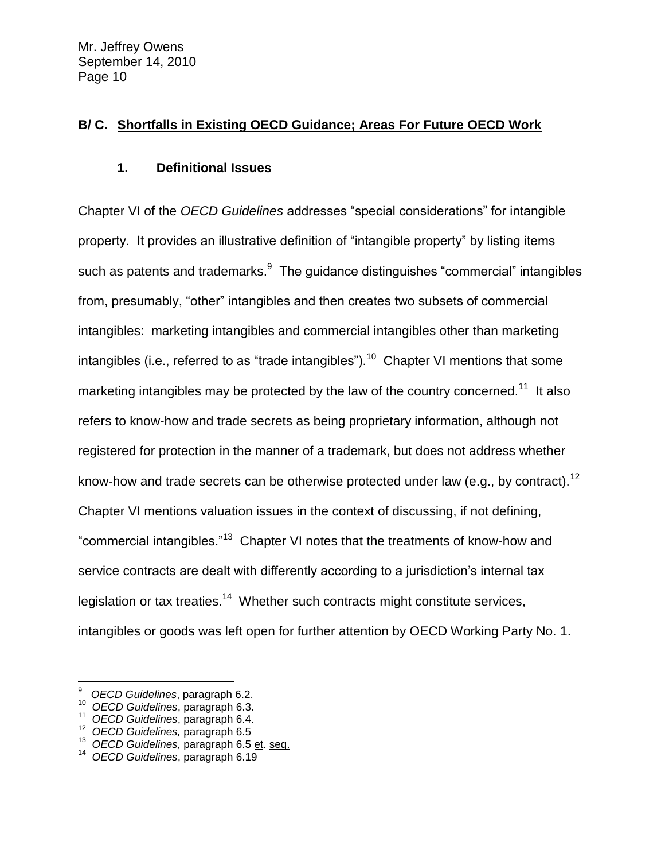## **B/ C. Shortfalls in Existing OECD Guidance; Areas For Future OECD Work**

## **1. Definitional Issues**

Chapter VI of the *OECD Guidelines* addresses "special considerations" for intangible property. It provides an illustrative definition of "intangible property" by listing items such as patents and trademarks. $9\,$  The guidance distinguishes "commercial" intangibles from, presumably, "other" intangibles and then creates two subsets of commercial intangibles: marketing intangibles and commercial intangibles other than marketing intangibles (i.e., referred to as "trade intangibles").<sup>10</sup> Chapter VI mentions that some marketing intangibles may be protected by the law of the country concerned.<sup>11</sup> It also refers to know-how and trade secrets as being proprietary information, although not registered for protection in the manner of a trademark, but does not address whether know-how and trade secrets can be otherwise protected under law (e.g., by contract).<sup>12</sup> Chapter VI mentions valuation issues in the context of discussing, if not defining, "commercial intangibles."<sup>13</sup> Chapter VI notes that the treatments of know-how and service contracts are dealt with differently according to a jurisdiction's internal tax legislation or tax treaties.<sup>14</sup> Whether such contracts might constitute services, intangibles or goods was left open for further attention by OECD Working Party No. 1.

 $\overline{a}$ 

<sup>9</sup> *OECD Guidelines*, paragraph 6.2.

<sup>10</sup> *OECD Guidelines*, paragraph 6.3.

<sup>11</sup> *OECD Guidelines*, paragraph 6.4.

<sup>12</sup> *OECD Guidelines,* paragraph 6.5

<sup>13</sup> *OECD Guidelines,* paragraph 6.5 et. seq.

<sup>14</sup> *OECD Guidelines*, paragraph 6.19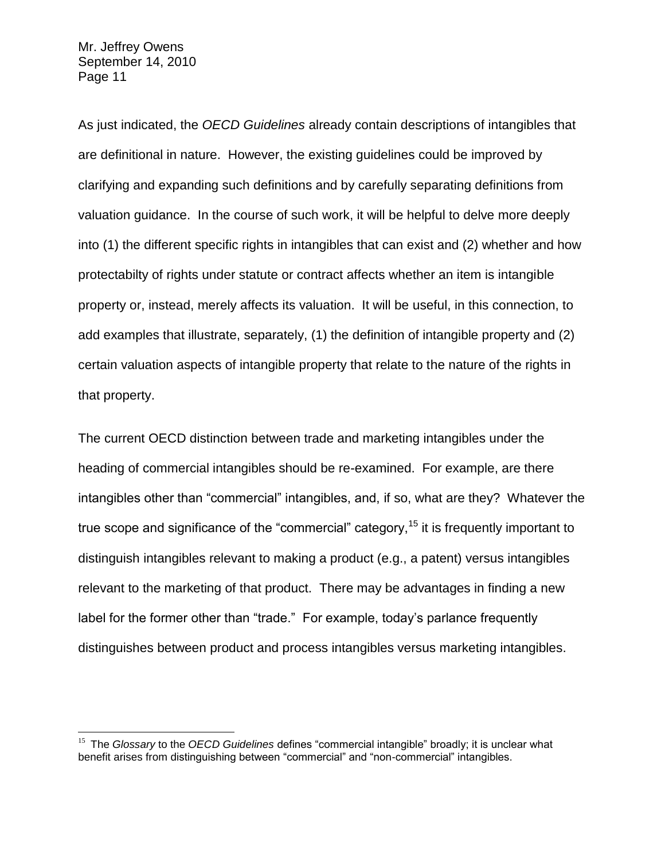$\overline{a}$ 

As just indicated, the *OECD Guidelines* already contain descriptions of intangibles that are definitional in nature. However, the existing guidelines could be improved by clarifying and expanding such definitions and by carefully separating definitions from valuation guidance. In the course of such work, it will be helpful to delve more deeply into (1) the different specific rights in intangibles that can exist and (2) whether and how protectabilty of rights under statute or contract affects whether an item is intangible property or, instead, merely affects its valuation. It will be useful, in this connection, to add examples that illustrate, separately, (1) the definition of intangible property and (2) certain valuation aspects of intangible property that relate to the nature of the rights in that property.

The current OECD distinction between trade and marketing intangibles under the heading of commercial intangibles should be re-examined. For example, are there intangibles other than "commercial" intangibles, and, if so, what are they? Whatever the true scope and significance of the "commercial" category,  $15$  it is frequently important to distinguish intangibles relevant to making a product (e.g., a patent) versus intangibles relevant to the marketing of that product. There may be advantages in finding a new label for the former other than "trade." For example, today's parlance frequently distinguishes between product and process intangibles versus marketing intangibles.

<sup>&</sup>lt;sup>15</sup> The *Glossary* to the *OECD Guidelines* defines "commercial intangible" broadly; it is unclear what benefit arises from distinguishing between "commercial" and "non-commercial" intangibles.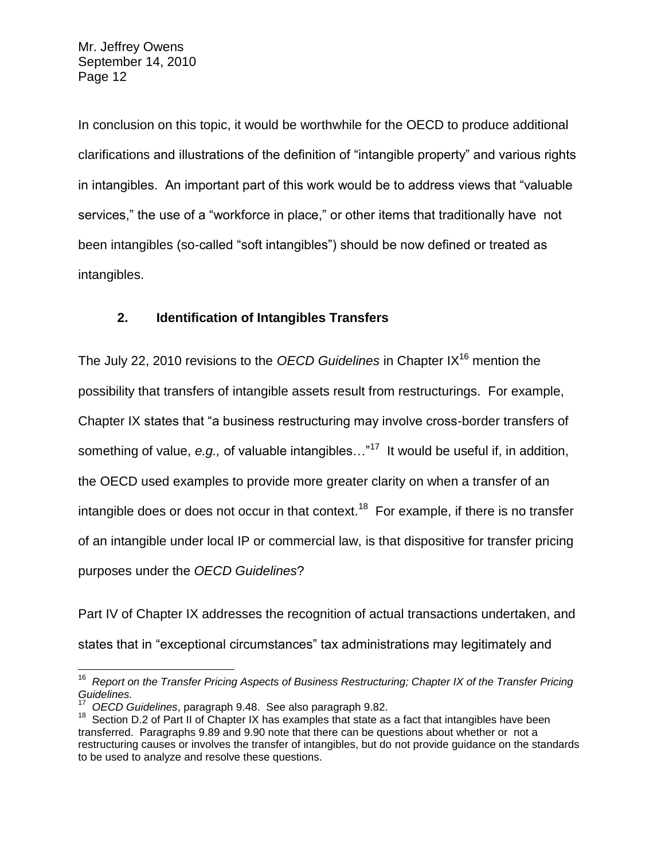In conclusion on this topic, it would be worthwhile for the OECD to produce additional clarifications and illustrations of the definition of "intangible property" and various rights in intangibles. An important part of this work would be to address views that "valuable services," the use of a "workforce in place," or other items that traditionally have not been intangibles (so-called "soft intangibles") should be now defined or treated as intangibles.

# **2. Identification of Intangibles Transfers**

The July 22, 2010 revisions to the *OECD Guidelines* in Chapter IX<sup>16</sup> mention the possibility that transfers of intangible assets result from restructurings. For example, Chapter IX states that "a business restructuring may involve cross-border transfers of something of value, e.g., of valuable intangibles..."<sup>17</sup> It would be useful if, in addition, the OECD used examples to provide more greater clarity on when a transfer of an intangible does or does not occur in that context.<sup>18</sup> For example, if there is no transfer of an intangible under local IP or commercial law, is that dispositive for transfer pricing purposes under the *OECD Guidelines*?

Part IV of Chapter IX addresses the recognition of actual transactions undertaken, and states that in "exceptional circumstances" tax administrations may legitimately and

 16 *Report on the Transfer Pricing Aspects of Business Restructuring; Chapter IX of the Transfer Pricing Guidelines.*

<sup>17</sup> *OECD Guidelines*, paragraph 9.48. See also paragraph 9.82.

<sup>&</sup>lt;sup>18</sup> Section D.2 of Part II of Chapter IX has examples that state as a fact that intangibles have been transferred. Paragraphs 9.89 and 9.90 note that there can be questions about whether or not a restructuring causes or involves the transfer of intangibles, but do not provide guidance on the standards to be used to analyze and resolve these questions.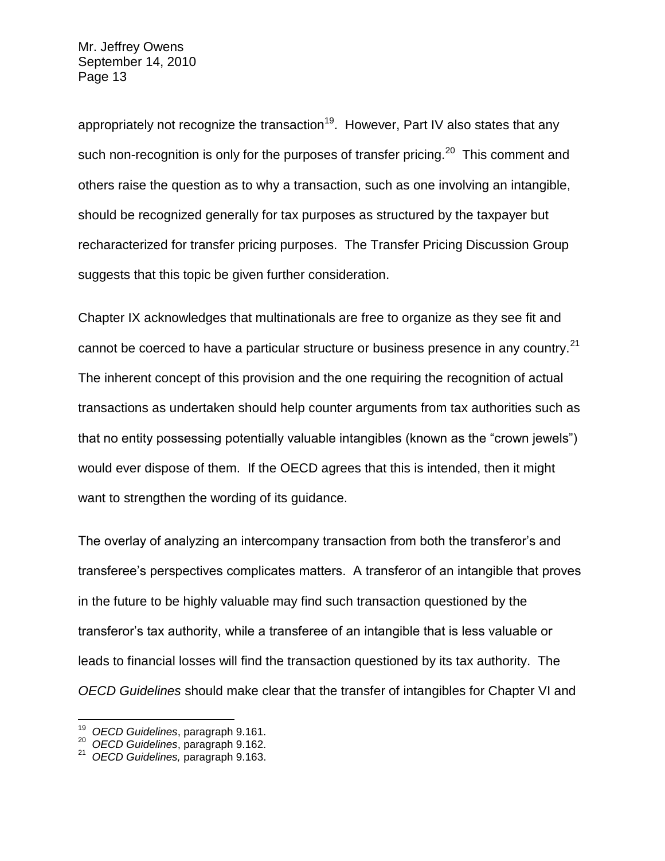appropriately not recognize the transaction<sup>19</sup>. However, Part IV also states that any such non-recognition is only for the purposes of transfer pricing.<sup>20</sup> This comment and others raise the question as to why a transaction, such as one involving an intangible, should be recognized generally for tax purposes as structured by the taxpayer but recharacterized for transfer pricing purposes. The Transfer Pricing Discussion Group suggests that this topic be given further consideration.

Chapter IX acknowledges that multinationals are free to organize as they see fit and cannot be coerced to have a particular structure or business presence in any country.<sup>21</sup> The inherent concept of this provision and the one requiring the recognition of actual transactions as undertaken should help counter arguments from tax authorities such as that no entity possessing potentially valuable intangibles (known as the "crown jewels") would ever dispose of them. If the OECD agrees that this is intended, then it might want to strengthen the wording of its guidance.

The overlay of analyzing an intercompany transaction from both the transferor's and transferee's perspectives complicates matters. A transferor of an intangible that proves in the future to be highly valuable may find such transaction questioned by the transferor's tax authority, while a transferee of an intangible that is less valuable or leads to financial losses will find the transaction questioned by its tax authority. The *OECD Guidelines* should make clear that the transfer of intangibles for Chapter VI and

 19 *OECD Guidelines*, paragraph 9.161.

<sup>20</sup> *OECD Guidelines*, paragraph 9.162.

<sup>21</sup> *OECD Guidelines,* paragraph 9.163.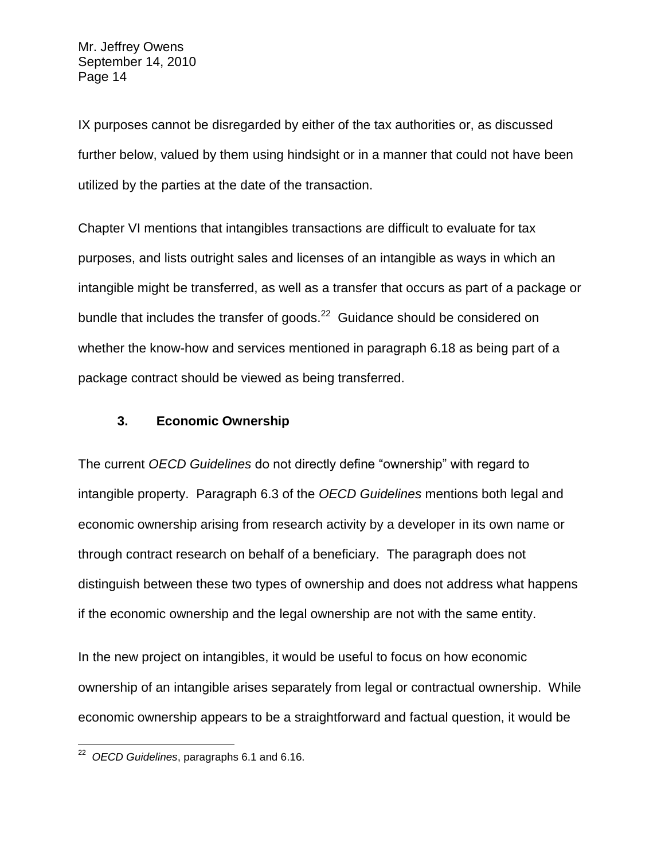IX purposes cannot be disregarded by either of the tax authorities or, as discussed further below, valued by them using hindsight or in a manner that could not have been utilized by the parties at the date of the transaction.

Chapter VI mentions that intangibles transactions are difficult to evaluate for tax purposes, and lists outright sales and licenses of an intangible as ways in which an intangible might be transferred, as well as a transfer that occurs as part of a package or bundle that includes the transfer of goods. $^{22}$  Guidance should be considered on whether the know-how and services mentioned in paragraph 6.18 as being part of a package contract should be viewed as being transferred.

#### **3. Economic Ownership**

The current *OECD Guidelines* do not directly define "ownership" with regard to intangible property. Paragraph 6.3 of the *OECD Guidelines* mentions both legal and economic ownership arising from research activity by a developer in its own name or through contract research on behalf of a beneficiary. The paragraph does not distinguish between these two types of ownership and does not address what happens if the economic ownership and the legal ownership are not with the same entity.

In the new project on intangibles, it would be useful to focus on how economic ownership of an intangible arises separately from legal or contractual ownership. While economic ownership appears to be a straightforward and factual question, it would be

 22 *OECD Guidelines*, paragraphs 6.1 and 6.16.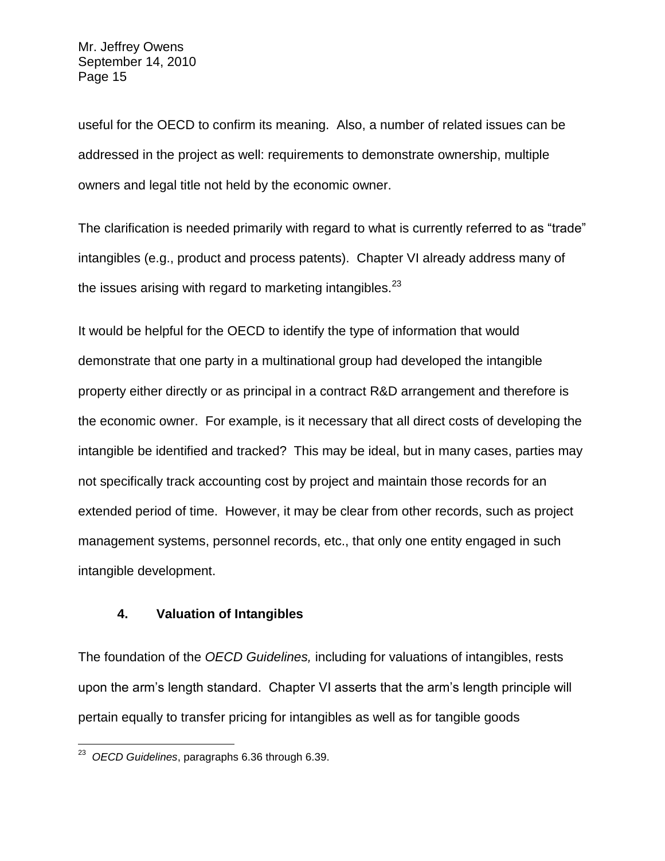useful for the OECD to confirm its meaning. Also, a number of related issues can be addressed in the project as well: requirements to demonstrate ownership, multiple owners and legal title not held by the economic owner.

The clarification is needed primarily with regard to what is currently referred to as "trade" intangibles (e.g., product and process patents). Chapter VI already address many of the issues arising with regard to marketing intangibles. $^{23}$ 

It would be helpful for the OECD to identify the type of information that would demonstrate that one party in a multinational group had developed the intangible property either directly or as principal in a contract R&D arrangement and therefore is the economic owner. For example, is it necessary that all direct costs of developing the intangible be identified and tracked? This may be ideal, but in many cases, parties may not specifically track accounting cost by project and maintain those records for an extended period of time. However, it may be clear from other records, such as project management systems, personnel records, etc., that only one entity engaged in such intangible development.

## **4. Valuation of Intangibles**

The foundation of the *OECD Guidelines,* including for valuations of intangibles, rests upon the arm's length standard. Chapter VI asserts that the arm's length principle will pertain equally to transfer pricing for intangibles as well as for tangible goods

 23 *OECD Guidelines*, paragraphs 6.36 through 6.39.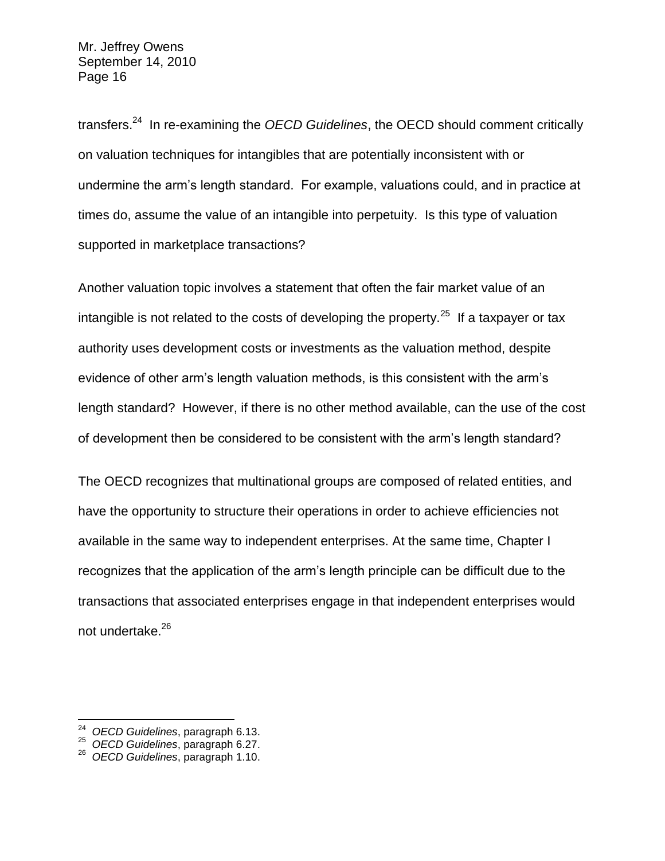transfers.<sup>24</sup> In re-examining the *OECD Guidelines*, the OECD should comment critically on valuation techniques for intangibles that are potentially inconsistent with or undermine the arm's length standard. For example, valuations could, and in practice at times do, assume the value of an intangible into perpetuity. Is this type of valuation supported in marketplace transactions?

Another valuation topic involves a statement that often the fair market value of an intangible is not related to the costs of developing the property.<sup>25</sup> If a taxpayer or tax authority uses development costs or investments as the valuation method, despite evidence of other arm's length valuation methods, is this consistent with the arm's length standard? However, if there is no other method available, can the use of the cost of development then be considered to be consistent with the arm's length standard?

The OECD recognizes that multinational groups are composed of related entities, and have the opportunity to structure their operations in order to achieve efficiencies not available in the same way to independent enterprises. At the same time, Chapter I recognizes that the application of the arm's length principle can be difficult due to the transactions that associated enterprises engage in that independent enterprises would not undertake.<sup>26</sup>

 $\overline{a}$ 

<sup>24</sup> *OECD Guidelines*, paragraph 6.13.

<sup>25</sup> *OECD Guidelines*, paragraph 6.27.

<sup>26</sup> *OECD Guidelines*, paragraph 1.10.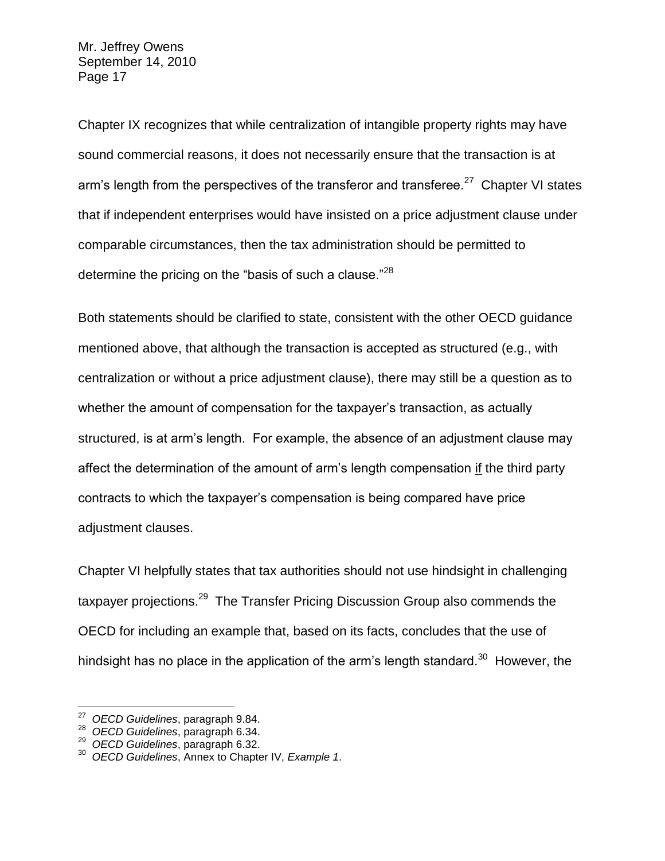Chapter IX recognizes that while centralization of intangible property rights may have sound commercial reasons, it does not necessarily ensure that the transaction is at arm's length from the perspectives of the transferor and transferee.<sup>27</sup> Chapter VI states that if independent enterprises would have insisted on a price adjustment clause under comparable circumstances, then the tax administration should be permitted to determine the pricing on the "basis of such a clause."<sup>28</sup>

Both statements should be clarified to state, consistent with the other OECD guidance mentioned above, that although the transaction is accepted as structured (e.g., with centralization or without a price adjustment clause), there may still be a question as to whether the amount of compensation for the taxpayer's transaction, as actually structured, is at arm's length. For example, the absence of an adjustment clause may affect the determination of the amount of arm's length compensation if the third party contracts to which the taxpayer's compensation is being compared have price adjustment clauses.

Chapter VI helpfully states that tax authorities should not use hindsight in challenging taxpayer projections.<sup>29</sup> The Transfer Pricing Discussion Group also commends the OECD for including an example that, based on its facts, concludes that the use of hindsight has no place in the application of the arm's length standard.<sup>30</sup> However, the

 27 *OECD Guidelines*, paragraph 9.84.

<sup>28</sup> *OECD Guidelines*, paragraph 6.34.

<sup>29</sup> *OECD Guidelines*, paragraph 6.32.

<sup>30</sup> *OECD Guidelines*, Annex to Chapter IV, *Example 1*.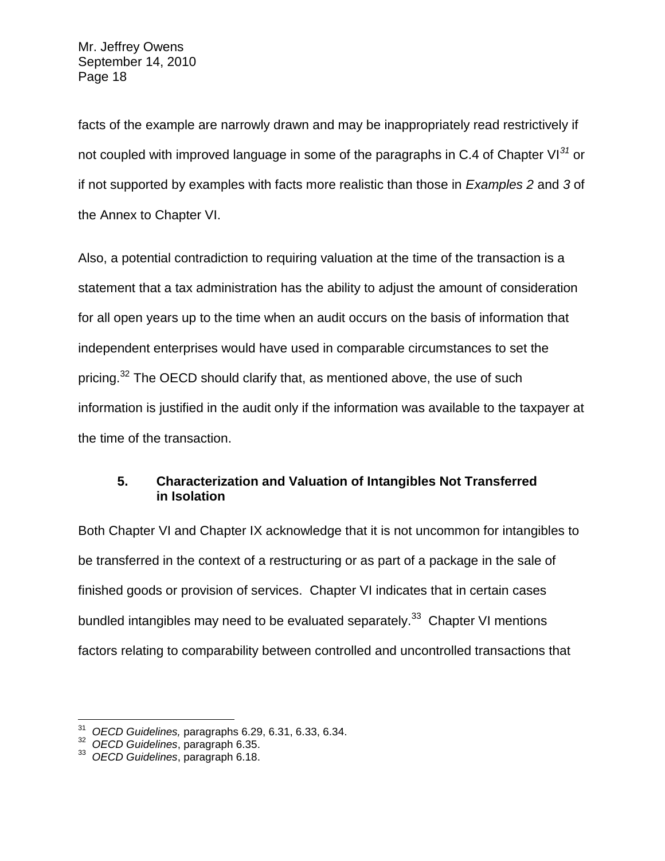facts of the example are narrowly drawn and may be inappropriately read restrictively if not coupled with improved language in some of the paragraphs in C.4 of Chapter VI*<sup>31</sup>* or if not supported by examples with facts more realistic than those in *Examples 2* and *3* of the Annex to Chapter VI.

Also, a potential contradiction to requiring valuation at the time of the transaction is a statement that a tax administration has the ability to adjust the amount of consideration for all open years up to the time when an audit occurs on the basis of information that independent enterprises would have used in comparable circumstances to set the pricing.<sup>32</sup> The OECD should clarify that, as mentioned above, the use of such information is justified in the audit only if the information was available to the taxpayer at the time of the transaction.

# **5. Characterization and Valuation of Intangibles Not Transferred in Isolation**

Both Chapter VI and Chapter IX acknowledge that it is not uncommon for intangibles to be transferred in the context of a restructuring or as part of a package in the sale of finished goods or provision of services. Chapter VI indicates that in certain cases bundled intangibles may need to be evaluated separately.<sup>33</sup> Chapter VI mentions factors relating to comparability between controlled and uncontrolled transactions that

 $\overline{a}$ 31 *OECD Guidelines,* paragraphs 6.29, 6.31, 6.33, 6.34.

<sup>32</sup> *OECD Guidelines*, paragraph 6.35.

<sup>33</sup> *OECD Guidelines*, paragraph 6.18.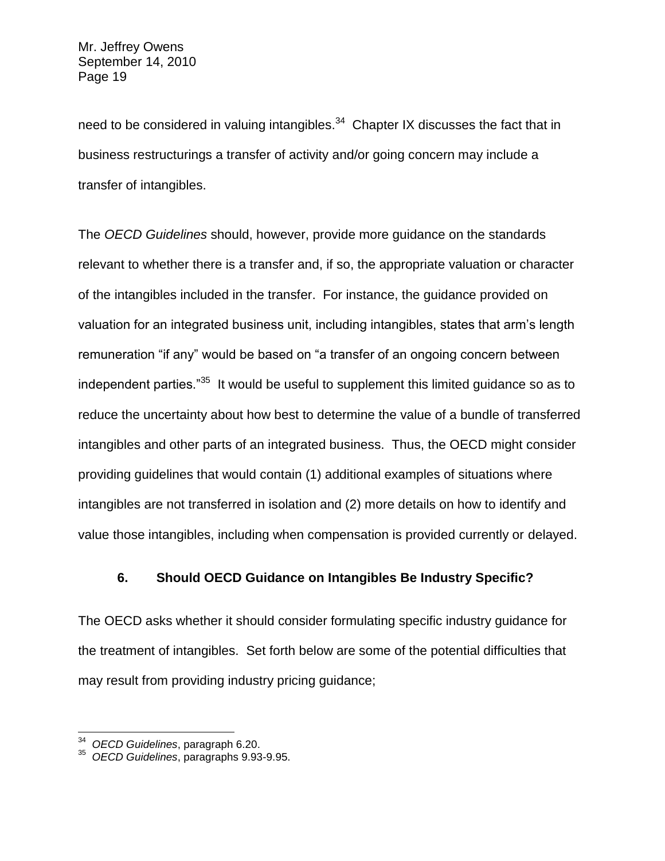need to be considered in valuing intangibles. $34$  Chapter IX discusses the fact that in business restructurings a transfer of activity and/or going concern may include a transfer of intangibles.

The *OECD Guidelines* should, however, provide more guidance on the standards relevant to whether there is a transfer and, if so, the appropriate valuation or character of the intangibles included in the transfer. For instance, the guidance provided on valuation for an integrated business unit, including intangibles, states that arm's length remuneration "if any" would be based on "a transfer of an ongoing concern between independent parties."<sup>35</sup> It would be useful to supplement this limited guidance so as to reduce the uncertainty about how best to determine the value of a bundle of transferred intangibles and other parts of an integrated business. Thus, the OECD might consider providing guidelines that would contain (1) additional examples of situations where intangibles are not transferred in isolation and (2) more details on how to identify and value those intangibles, including when compensation is provided currently or delayed.

### **6. Should OECD Guidance on Intangibles Be Industry Specific?**

The OECD asks whether it should consider formulating specific industry guidance for the treatment of intangibles. Set forth below are some of the potential difficulties that may result from providing industry pricing guidance;

 34 *OECD Guidelines*, paragraph 6.20.

<sup>35</sup> *OECD Guidelines*, paragraphs 9.93-9.95.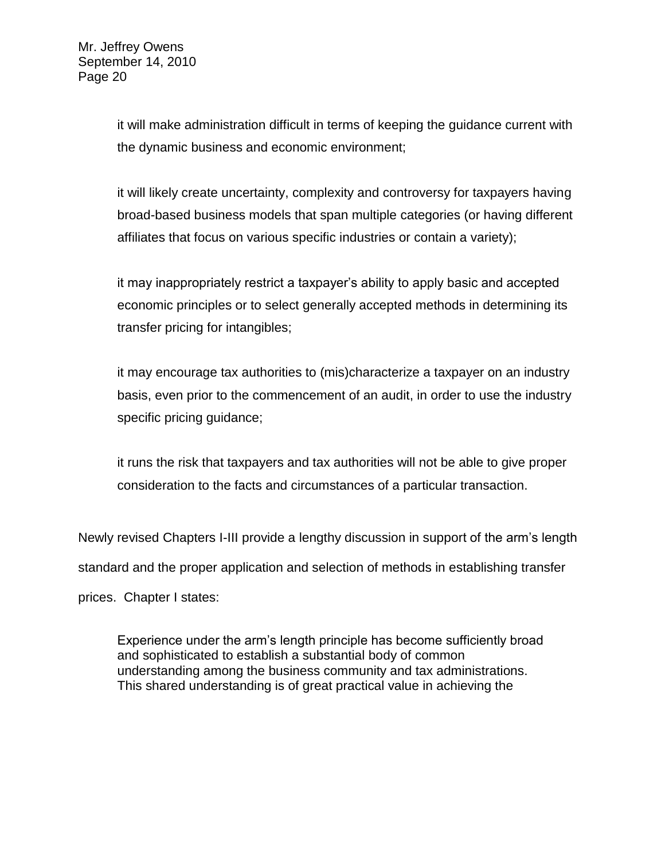it will make administration difficult in terms of keeping the guidance current with the dynamic business and economic environment;

it will likely create uncertainty, complexity and controversy for taxpayers having broad-based business models that span multiple categories (or having different affiliates that focus on various specific industries or contain a variety);

it may inappropriately restrict a taxpayer's ability to apply basic and accepted economic principles or to select generally accepted methods in determining its transfer pricing for intangibles;

it may encourage tax authorities to (mis)characterize a taxpayer on an industry basis, even prior to the commencement of an audit, in order to use the industry specific pricing guidance;

it runs the risk that taxpayers and tax authorities will not be able to give proper consideration to the facts and circumstances of a particular transaction.

Newly revised Chapters I-III provide a lengthy discussion in support of the arm's length standard and the proper application and selection of methods in establishing transfer prices. Chapter I states:

Experience under the arm's length principle has become sufficiently broad and sophisticated to establish a substantial body of common understanding among the business community and tax administrations. This shared understanding is of great practical value in achieving the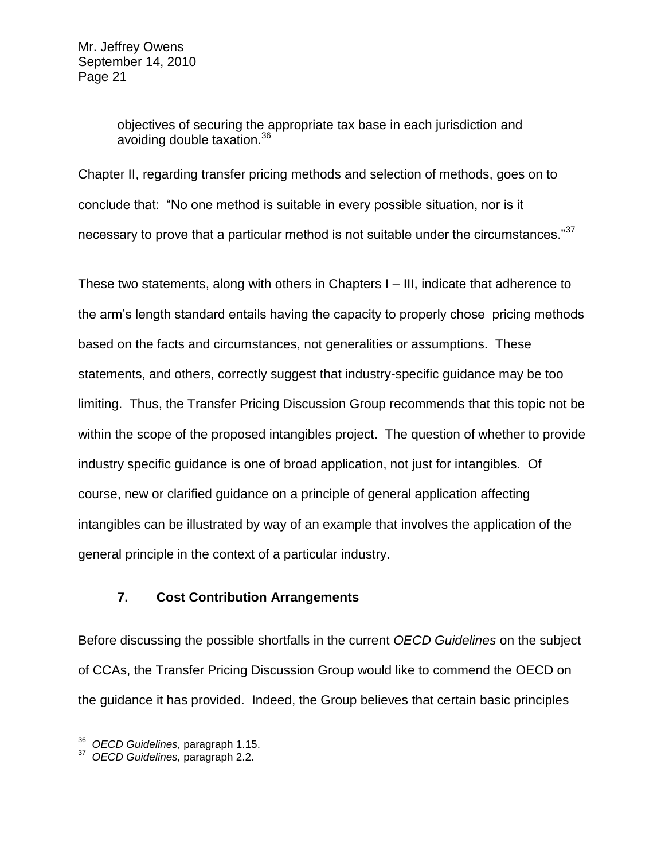objectives of securing the appropriate tax base in each jurisdiction and avoiding double taxation.<sup>36</sup>

Chapter II, regarding transfer pricing methods and selection of methods, goes on to conclude that: "No one method is suitable in every possible situation, nor is it necessary to prove that a particular method is not suitable under the circumstances."<sup>37</sup>

These two statements, along with others in Chapters I – III, indicate that adherence to the arm's length standard entails having the capacity to properly chose pricing methods based on the facts and circumstances, not generalities or assumptions. These statements, and others, correctly suggest that industry-specific guidance may be too limiting. Thus, the Transfer Pricing Discussion Group recommends that this topic not be within the scope of the proposed intangibles project. The question of whether to provide industry specific guidance is one of broad application, not just for intangibles. Of course, new or clarified guidance on a principle of general application affecting intangibles can be illustrated by way of an example that involves the application of the general principle in the context of a particular industry.

### **7. Cost Contribution Arrangements**

Before discussing the possible shortfalls in the current *OECD Guidelines* on the subject of CCAs, the Transfer Pricing Discussion Group would like to commend the OECD on the guidance it has provided. Indeed, the Group believes that certain basic principles

 $\overline{a}$ 

<sup>36</sup> *OECD Guidelines,* paragraph 1.15.

<sup>37</sup> *OECD Guidelines,* paragraph 2.2.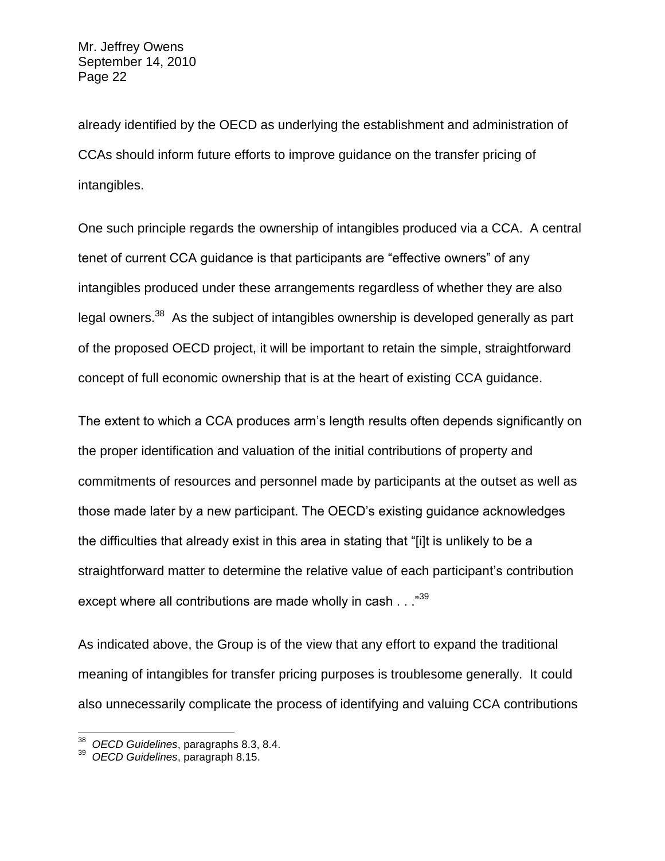already identified by the OECD as underlying the establishment and administration of CCAs should inform future efforts to improve guidance on the transfer pricing of intangibles.

One such principle regards the ownership of intangibles produced via a CCA. A central tenet of current CCA guidance is that participants are "effective owners" of any intangibles produced under these arrangements regardless of whether they are also legal owners.<sup>38</sup> As the subject of intangibles ownership is developed generally as part of the proposed OECD project, it will be important to retain the simple, straightforward concept of full economic ownership that is at the heart of existing CCA guidance.

The extent to which a CCA produces arm's length results often depends significantly on the proper identification and valuation of the initial contributions of property and commitments of resources and personnel made by participants at the outset as well as those made later by a new participant. The OECD's existing guidance acknowledges the difficulties that already exist in this area in stating that "[i]t is unlikely to be a straightforward matter to determine the relative value of each participant's contribution except where all contributions are made wholly in cash . . . "39

As indicated above, the Group is of the view that any effort to expand the traditional meaning of intangibles for transfer pricing purposes is troublesome generally. It could also unnecessarily complicate the process of identifying and valuing CCA contributions

 $\overline{a}$ 

<sup>38</sup> *OECD Guidelines*, paragraphs 8.3, 8.4.

<sup>39</sup> *OECD Guidelines*, paragraph 8.15.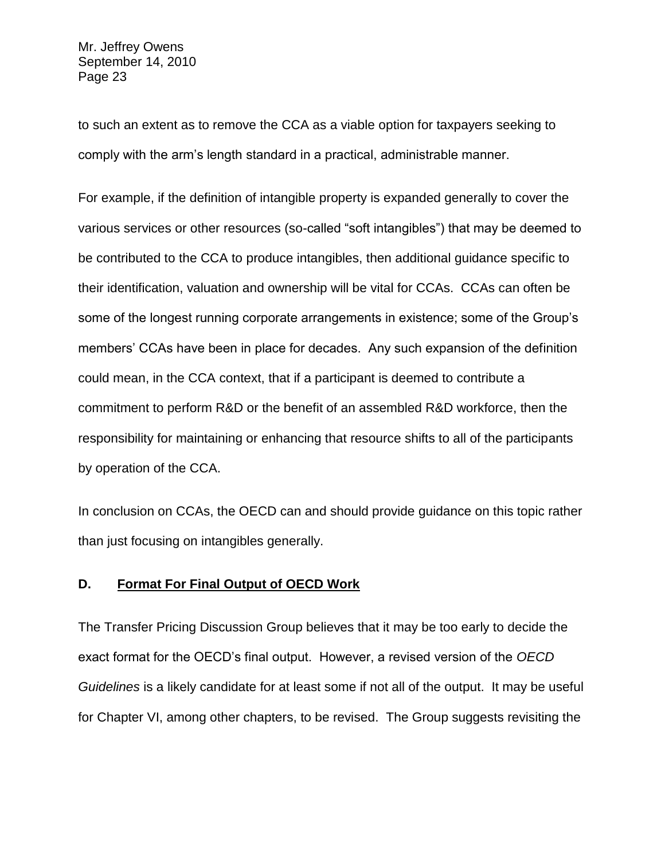to such an extent as to remove the CCA as a viable option for taxpayers seeking to comply with the arm's length standard in a practical, administrable manner.

For example, if the definition of intangible property is expanded generally to cover the various services or other resources (so-called "soft intangibles") that may be deemed to be contributed to the CCA to produce intangibles, then additional guidance specific to their identification, valuation and ownership will be vital for CCAs. CCAs can often be some of the longest running corporate arrangements in existence; some of the Group's members' CCAs have been in place for decades. Any such expansion of the definition could mean, in the CCA context, that if a participant is deemed to contribute a commitment to perform R&D or the benefit of an assembled R&D workforce, then the responsibility for maintaining or enhancing that resource shifts to all of the participants by operation of the CCA.

In conclusion on CCAs, the OECD can and should provide guidance on this topic rather than just focusing on intangibles generally.

#### **D. Format For Final Output of OECD Work**

The Transfer Pricing Discussion Group believes that it may be too early to decide the exact format for the OECD's final output. However, a revised version of the *OECD Guidelines* is a likely candidate for at least some if not all of the output. It may be useful for Chapter VI, among other chapters, to be revised. The Group suggests revisiting the